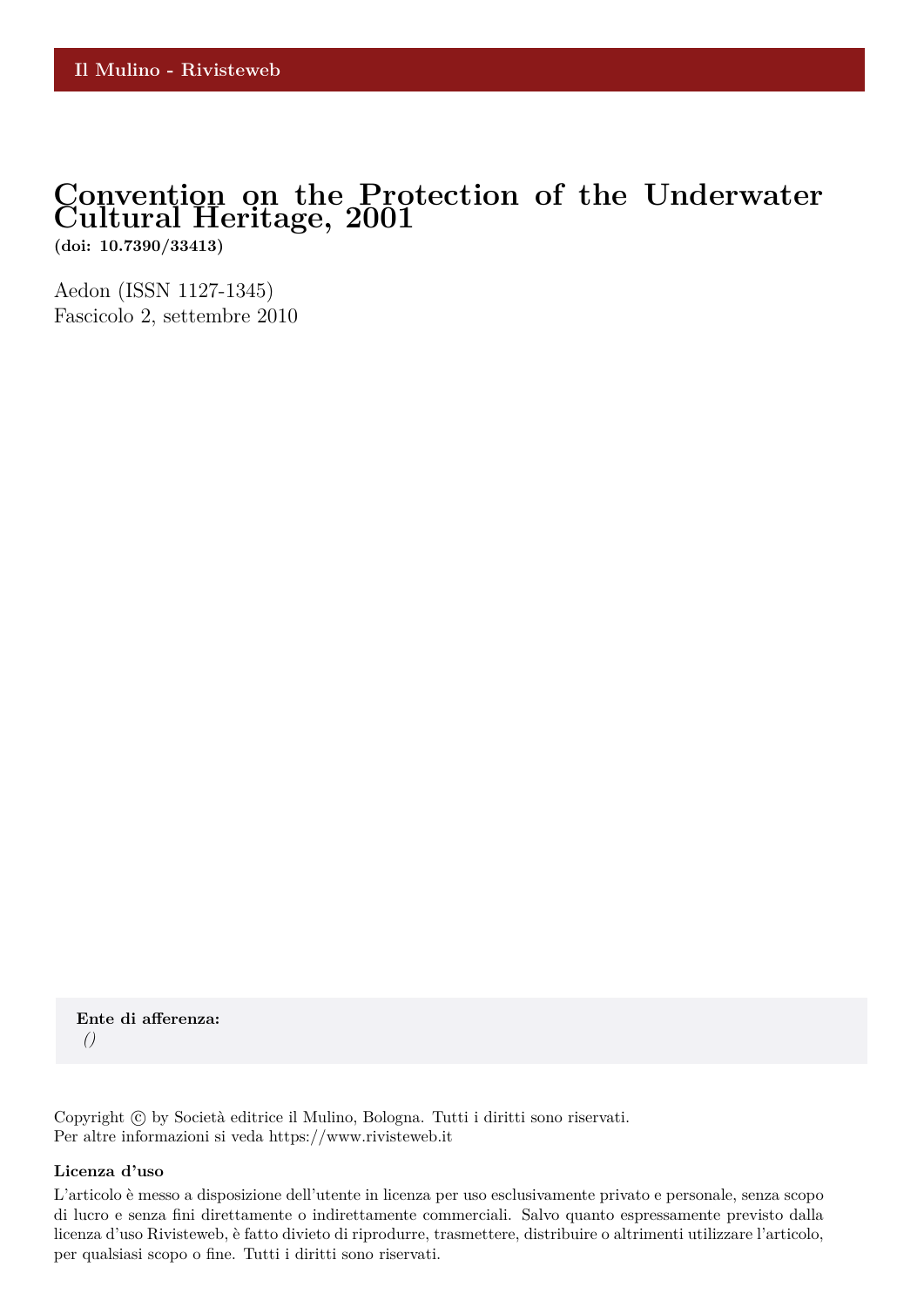# **Convention on the Protection of the Underwater Cultural Heritage, 2001**

**(doi: 10.7390/33413)**

Aedon (ISSN 1127-1345) Fascicolo 2, settembre 2010

**Ente di afferenza:** *()*

Copyright © by Società editrice il Mulino, Bologna. Tutti i diritti sono riservati. Per altre informazioni si veda https://www.rivisteweb.it

# **Licenza d'uso**

L'articolo è messo a disposizione dell'utente in licenza per uso esclusivamente privato e personale, senza scopo di lucro e senza fini direttamente o indirettamente commerciali. Salvo quanto espressamente previsto dalla licenza d'uso Rivisteweb, è fatto divieto di riprodurre, trasmettere, distribuire o altrimenti utilizzare l'articolo, per qualsiasi scopo o fine. Tutti i diritti sono riservati.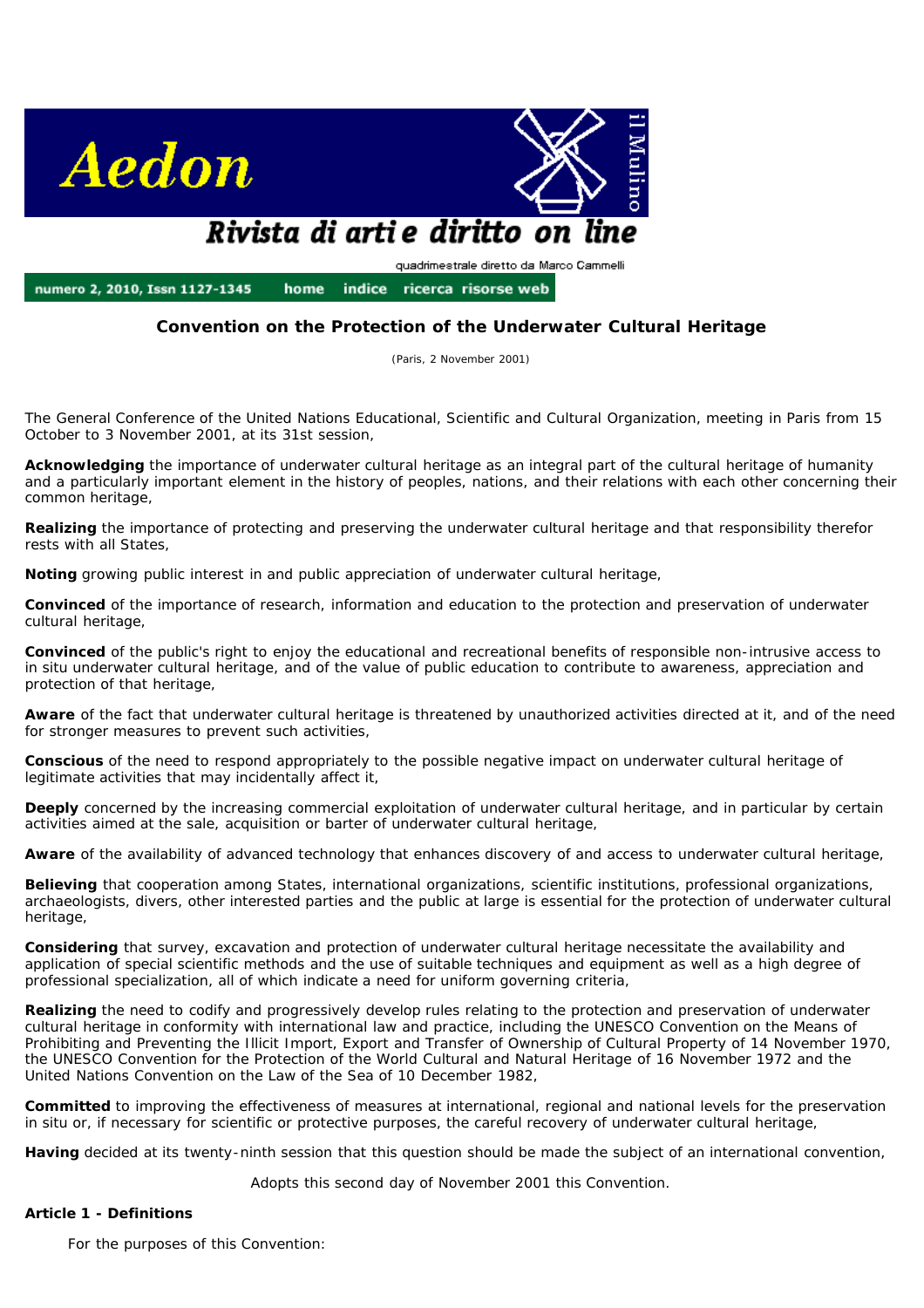<span id="page-1-0"></span>

home

numero 2, 2010, Issn 1127-1345

indice ricerca risorse web

# **Convention on the Protection of the Underwater Cultural Heritage**

(Paris, 2 November 2001)

The General Conference of the United Nations Educational, Scientific and Cultural Organization, meeting in Paris from 15 October to 3 November 2001, at its 31st session,

**Acknowledging** the importance of underwater cultural heritage as an integral part of the cultural heritage of humanity and a particularly important element in the history of peoples, nations, and their relations with each other concerning their common heritage,

**Realizing** the importance of protecting and preserving the underwater cultural heritage and that responsibility therefor rests with all States,

**Noting** growing public interest in and public appreciation of underwater cultural heritage,

**Convinced** of the importance of research, information and education to the protection and preservation of underwater cultural heritage,

**Convinced** of the public's right to enjoy the educational and recreational benefits of responsible non-intrusive access to in situ underwater cultural heritage, and of the value of public education to contribute to awareness, appreciation and protection of that heritage,

**Aware** of the fact that underwater cultural heritage is threatened by unauthorized activities directed at it, and of the need for stronger measures to prevent such activities,

**Conscious** of the need to respond appropriately to the possible negative impact on underwater cultural heritage of legitimate activities that may incidentally affect it,

**Deeply** concerned by the increasing commercial exploitation of underwater cultural heritage, and in particular by certain activities aimed at the sale, acquisition or barter of underwater cultural heritage,

**Aware** of the availability of advanced technology that enhances discovery of and access to underwater cultural heritage,

**Believing** that cooperation among States, international organizations, scientific institutions, professional organizations, archaeologists, divers, other interested parties and the public at large is essential for the protection of underwater cultural heritage,

**Considering** that survey, excavation and protection of underwater cultural heritage necessitate the availability and application of special scientific methods and the use of suitable techniques and equipment as well as a high degree of professional specialization, all of which indicate a need for uniform governing criteria,

**Realizing** the need to codify and progressively develop rules relating to the protection and preservation of underwater cultural heritage in conformity with international law and practice, including the UNESCO Convention on the Means of Prohibiting and Preventing the Illicit Import, Export and Transfer of Ownership of Cultural Property of 14 November 1970, the UNESCO Convention for the Protection of the World Cultural and Natural Heritage of 16 November 1972 and the United Nations Convention on the Law of the Sea of 10 December 1982,

**Committed** to improving the effectiveness of measures at international, regional and national levels for the preservation in situ or, if necessary for scientific or protective purposes, the careful recovery of underwater cultural heritage,

**Having** decided at its twenty-ninth session that this question should be made the subject of an international convention,

Adopts this second day of November 2001 this Convention.

# **Article 1 - Definitions**

For the purposes of this Convention: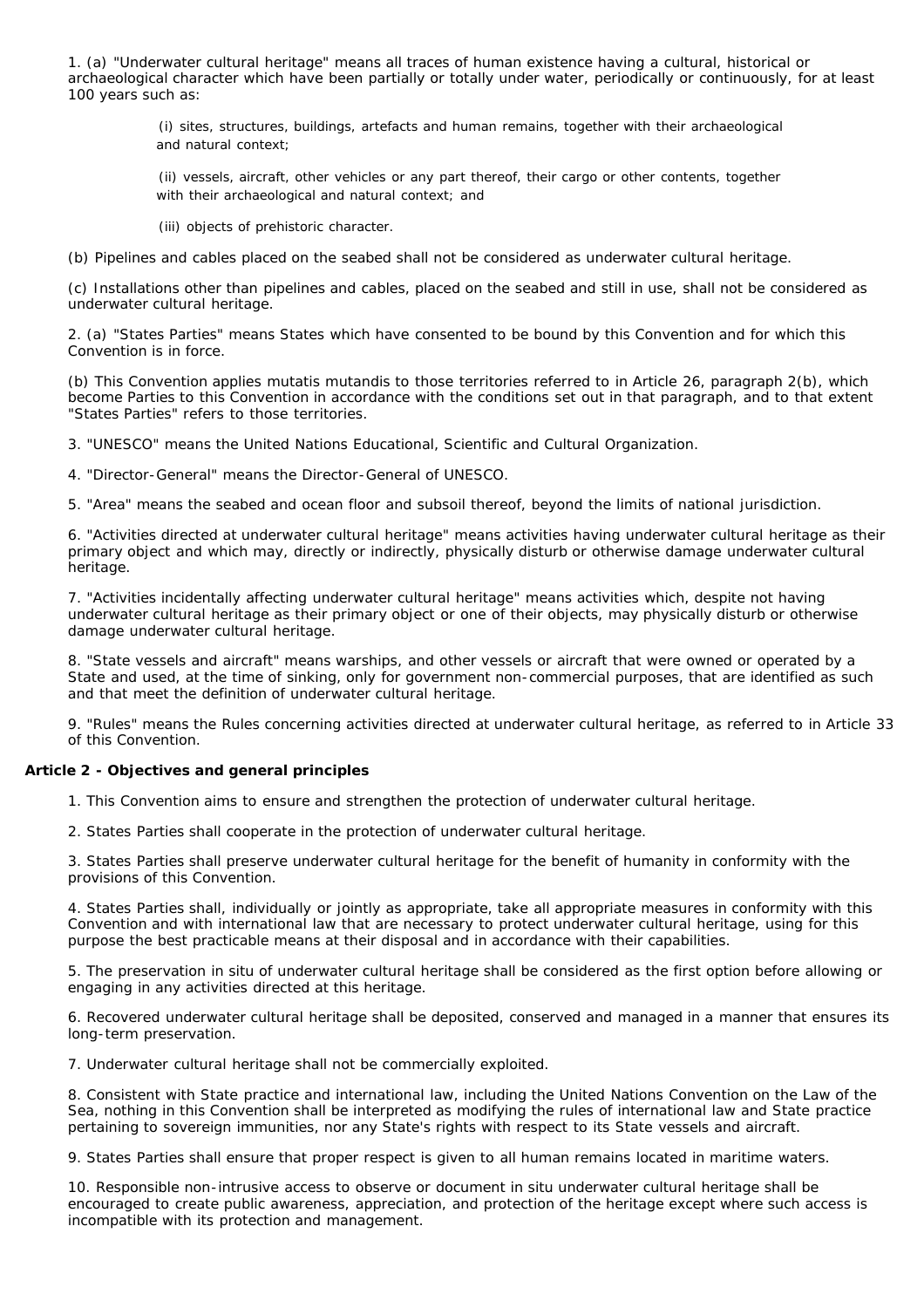1. (a) "Underwater cultural heritage" means all traces of human existence having a cultural, historical or archaeological character which have been partially or totally under water, periodically or continuously, for at least 100 years such as:

> (i) sites, structures, buildings, artefacts and human remains, together with their archaeological and natural context;

> (ii) vessels, aircraft, other vehicles or any part thereof, their cargo or other contents, together with their archaeological and natural context; and

(iii) objects of prehistoric character.

(b) Pipelines and cables placed on the seabed shall not be considered as underwater cultural heritage.

(c) Installations other than pipelines and cables, placed on the seabed and still in use, shall not be considered as underwater cultural heritage.

2. (a) "States Parties" means States which have consented to be bound by this Convention and for which this Convention is in force.

(b) This Convention applies mutatis mutandis to those territories referred to in Article 26, paragraph 2(b), which become Parties to this Convention in accordance with the conditions set out in that paragraph, and to that extent "States Parties" refers to those territories.

3. "UNESCO" means the United Nations Educational, Scientific and Cultural Organization.

4. "Director-General" means the Director-General of UNESCO.

5. "Area" means the seabed and ocean floor and subsoil thereof, beyond the limits of national jurisdiction.

6. "Activities directed at underwater cultural heritage" means activities having underwater cultural heritage as their primary object and which may, directly or indirectly, physically disturb or otherwise damage underwater cultural heritage.

7. "Activities incidentally affecting underwater cultural heritage" means activities which, despite not having underwater cultural heritage as their primary object or one of their objects, may physically disturb or otherwise damage underwater cultural heritage.

8. "State vessels and aircraft" means warships, and other vessels or aircraft that were owned or operated by a State and used, at the time of sinking, only for government non-commercial purposes, that are identified as such and that meet the definition of underwater cultural heritage.

9. "Rules" means the Rules concerning activities directed at underwater cultural heritage, as referred to in Article 33 of this Convention.

# **Article 2 - Objectives and general principles**

1. This Convention aims to ensure and strengthen the protection of underwater cultural heritage.

2. States Parties shall cooperate in the protection of underwater cultural heritage.

3. States Parties shall preserve underwater cultural heritage for the benefit of humanity in conformity with the provisions of this Convention.

4. States Parties shall, individually or jointly as appropriate, take all appropriate measures in conformity with this Convention and with international law that are necessary to protect underwater cultural heritage, using for this purpose the best practicable means at their disposal and in accordance with their capabilities.

5. The preservation in situ of underwater cultural heritage shall be considered as the first option before allowing or engaging in any activities directed at this heritage.

6. Recovered underwater cultural heritage shall be deposited, conserved and managed in a manner that ensures its long-term preservation.

7. Underwater cultural heritage shall not be commercially exploited.

8. Consistent with State practice and international law, including the United Nations Convention on the Law of the Sea, nothing in this Convention shall be interpreted as modifying the rules of international law and State practice pertaining to sovereign immunities, nor any State's rights with respect to its State vessels and aircraft.

9. States Parties shall ensure that proper respect is given to all human remains located in maritime waters.

10. Responsible non-intrusive access to observe or document in situ underwater cultural heritage shall be encouraged to create public awareness, appreciation, and protection of the heritage except where such access is incompatible with its protection and management.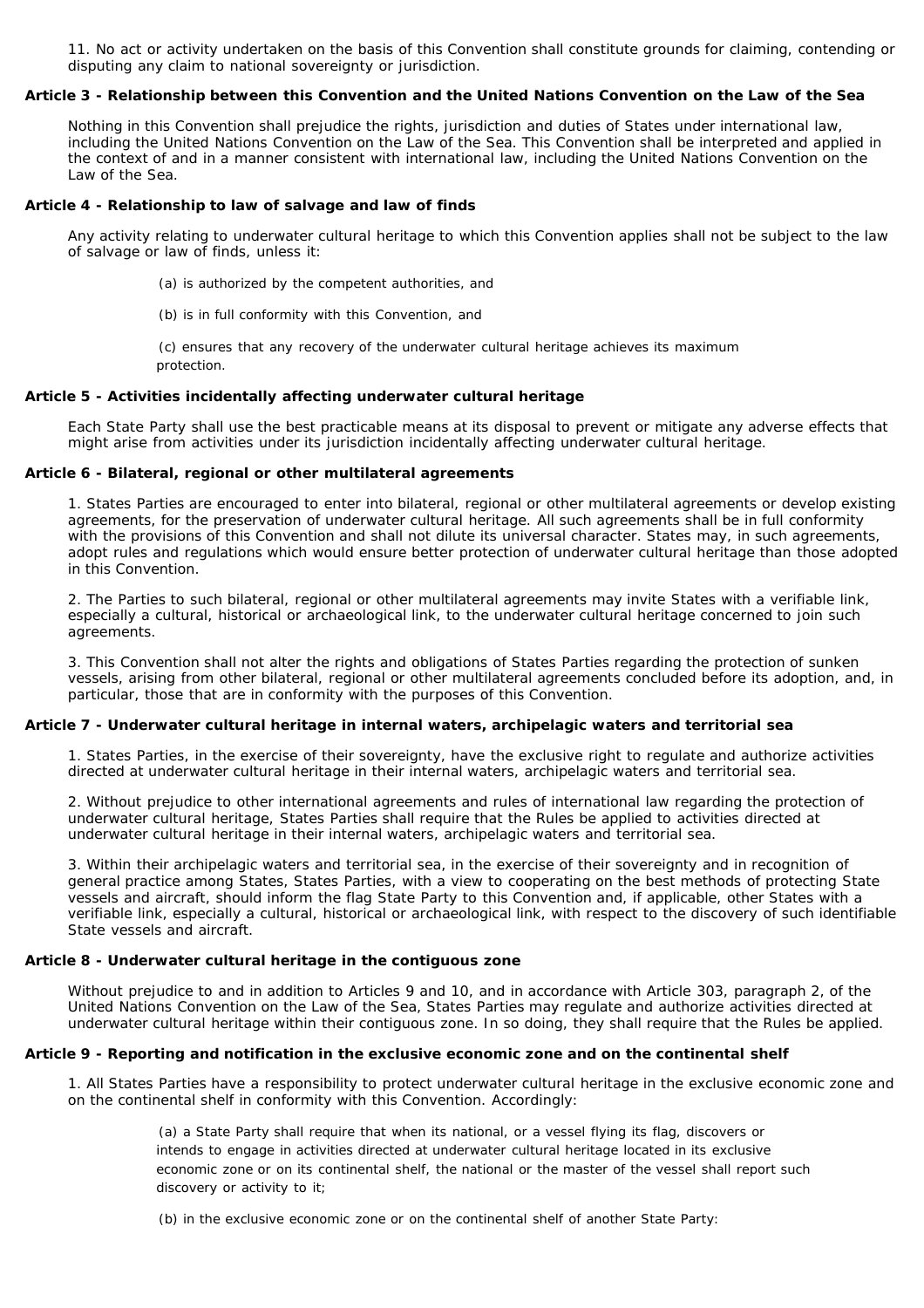11. No act or activity undertaken on the basis of this Convention shall constitute grounds for claiming, contending or disputing any claim to national sovereignty or jurisdiction.

# **Article 3 - Relationship between this Convention and the United Nations Convention on the Law of the Sea**

Nothing in this Convention shall prejudice the rights, jurisdiction and duties of States under international law, including the United Nations Convention on the Law of the Sea. This Convention shall be interpreted and applied in the context of and in a manner consistent with international law, including the United Nations Convention on the Law of the Sea.

# **Article 4 - Relationship to law of salvage and law of finds**

Any activity relating to underwater cultural heritage to which this Convention applies shall not be subject to the law of salvage or law of finds, unless it:

- (a) is authorized by the competent authorities, and
- (b) is in full conformity with this Convention, and

(c) ensures that any recovery of the underwater cultural heritage achieves its maximum protection.

# **Article 5 - Activities incidentally affecting underwater cultural heritage**

Each State Party shall use the best practicable means at its disposal to prevent or mitigate any adverse effects that might arise from activities under its jurisdiction incidentally affecting underwater cultural heritage.

# **Article 6 - Bilateral, regional or other multilateral agreements**

1. States Parties are encouraged to enter into bilateral, regional or other multilateral agreements or develop existing agreements, for the preservation of underwater cultural heritage. All such agreements shall be in full conformity with the provisions of this Convention and shall not dilute its universal character. States may, in such agreements, adopt rules and regulations which would ensure better protection of underwater cultural heritage than those adopted in this Convention.

2. The Parties to such bilateral, regional or other multilateral agreements may invite States with a verifiable link, especially a cultural, historical or archaeological link, to the underwater cultural heritage concerned to join such agreements.

3. This Convention shall not alter the rights and obligations of States Parties regarding the protection of sunken vessels, arising from other bilateral, regional or other multilateral agreements concluded before its adoption, and, in particular, those that are in conformity with the purposes of this Convention.

# **Article 7 - Underwater cultural heritage in internal waters, archipelagic waters and territorial sea**

1. States Parties, in the exercise of their sovereignty, have the exclusive right to regulate and authorize activities directed at underwater cultural heritage in their internal waters, archipelagic waters and territorial sea.

2. Without prejudice to other international agreements and rules of international law regarding the protection of underwater cultural heritage, States Parties shall require that the Rules be applied to activities directed at underwater cultural heritage in their internal waters, archipelagic waters and territorial sea.

3. Within their archipelagic waters and territorial sea, in the exercise of their sovereignty and in recognition of general practice among States, States Parties, with a view to cooperating on the best methods of protecting State vessels and aircraft, should inform the flag State Party to this Convention and, if applicable, other States with a verifiable link, especially a cultural, historical or archaeological link, with respect to the discovery of such identifiable State vessels and aircraft.

# **Article 8 - Underwater cultural heritage in the contiguous zone**

Without prejudice to and in addition to Articles 9 and 10, and in accordance with Article 303, paragraph 2, of the United Nations Convention on the Law of the Sea, States Parties may regulate and authorize activities directed at underwater cultural heritage within their contiguous zone. In so doing, they shall require that the Rules be applied.

# **Article 9 - Reporting and notification in the exclusive economic zone and on the continental shelf**

1. All States Parties have a responsibility to protect underwater cultural heritage in the exclusive economic zone and on the continental shelf in conformity with this Convention. Accordingly:

> (a) a State Party shall require that when its national, or a vessel flying its flag, discovers or intends to engage in activities directed at underwater cultural heritage located in its exclusive economic zone or on its continental shelf, the national or the master of the vessel shall report such discovery or activity to it;

(b) in the exclusive economic zone or on the continental shelf of another State Party: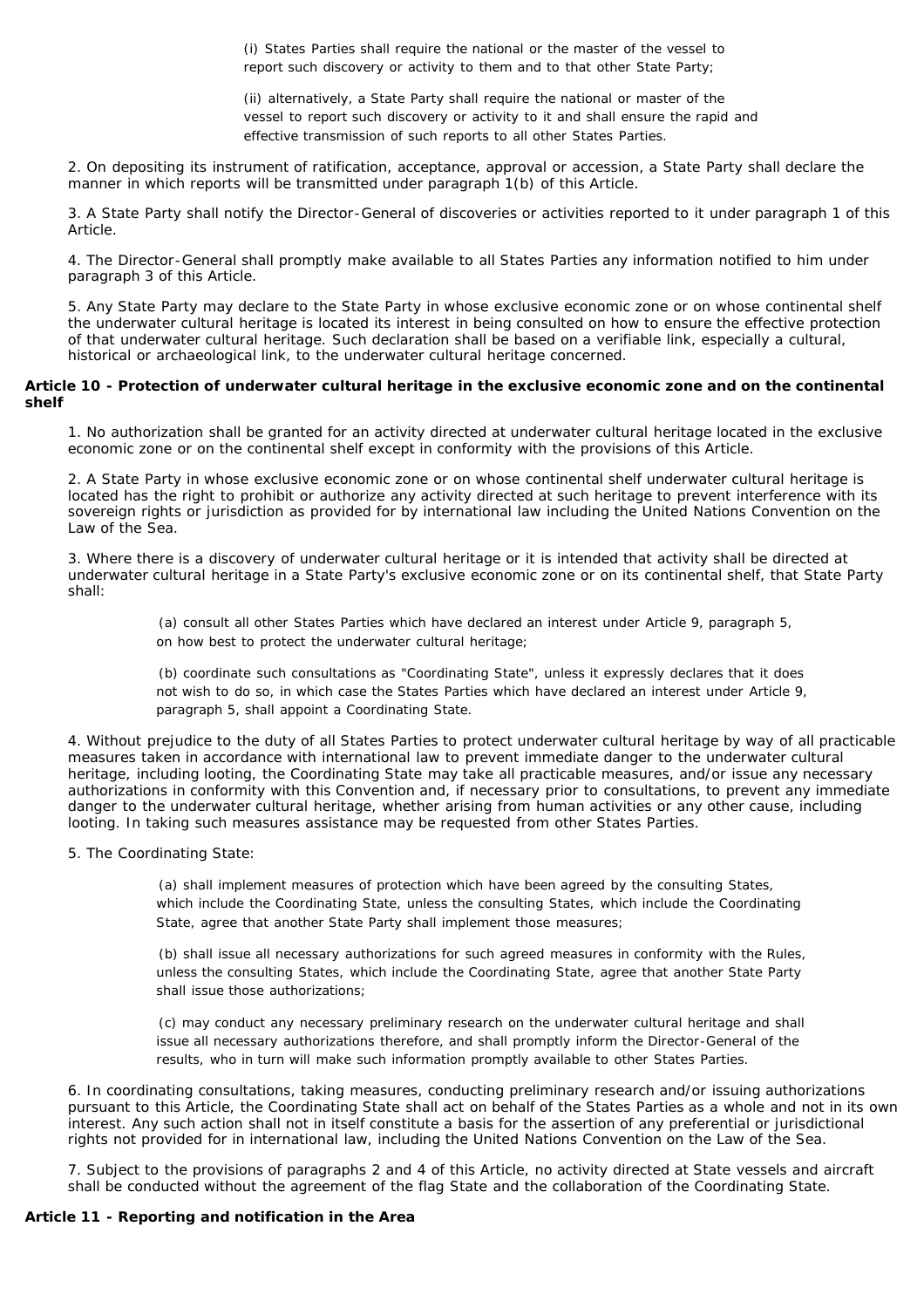(i) States Parties shall require the national or the master of the vessel to report such discovery or activity to them and to that other State Party;

(ii) alternatively, a State Party shall require the national or master of the vessel to report such discovery or activity to it and shall ensure the rapid and effective transmission of such reports to all other States Parties.

2. On depositing its instrument of ratification, acceptance, approval or accession, a State Party shall declare the manner in which reports will be transmitted under paragraph 1(b) of this Article.

3. A State Party shall notify the Director-General of discoveries or activities reported to it under paragraph 1 of this Article.

4. The Director-General shall promptly make available to all States Parties any information notified to him under paragraph 3 of this Article.

5. Any State Party may declare to the State Party in whose exclusive economic zone or on whose continental shelf the underwater cultural heritage is located its interest in being consulted on how to ensure the effective protection of that underwater cultural heritage. Such declaration shall be based on a verifiable link, especially a cultural, historical or archaeological link, to the underwater cultural heritage concerned.

# **Article 10 - Protection of underwater cultural heritage in the exclusive economic zone and on the continental shelf**

1. No authorization shall be granted for an activity directed at underwater cultural heritage located in the exclusive economic zone or on the continental shelf except in conformity with the provisions of this Article.

2. A State Party in whose exclusive economic zone or on whose continental shelf underwater cultural heritage is located has the right to prohibit or authorize any activity directed at such heritage to prevent interference with its sovereign rights or jurisdiction as provided for by international law including the United Nations Convention on the Law of the Sea.

3. Where there is a discovery of underwater cultural heritage or it is intended that activity shall be directed at underwater cultural heritage in a State Party's exclusive economic zone or on its continental shelf, that State Party shall:

> (a) consult all other States Parties which have declared an interest under Article 9, paragraph 5, on how best to protect the underwater cultural heritage;

(b) coordinate such consultations as "Coordinating State", unless it expressly declares that it does not wish to do so, in which case the States Parties which have declared an interest under Article 9, paragraph 5, shall appoint a Coordinating State.

4. Without prejudice to the duty of all States Parties to protect underwater cultural heritage by way of all practicable measures taken in accordance with international law to prevent immediate danger to the underwater cultural heritage, including looting, the Coordinating State may take all practicable measures, and/or issue any necessary authorizations in conformity with this Convention and, if necessary prior to consultations, to prevent any immediate danger to the underwater cultural heritage, whether arising from human activities or any other cause, including looting. In taking such measures assistance may be requested from other States Parties.

5. The Coordinating State:

(a) shall implement measures of protection which have been agreed by the consulting States, which include the Coordinating State, unless the consulting States, which include the Coordinating State, agree that another State Party shall implement those measures;

(b) shall issue all necessary authorizations for such agreed measures in conformity with the Rules, unless the consulting States, which include the Coordinating State, agree that another State Party shall issue those authorizations;

(c) may conduct any necessary preliminary research on the underwater cultural heritage and shall issue all necessary authorizations therefore, and shall promptly inform the Director-General of the results, who in turn will make such information promptly available to other States Parties.

6. In coordinating consultations, taking measures, conducting preliminary research and/or issuing authorizations pursuant to this Article, the Coordinating State shall act on behalf of the States Parties as a whole and not in its own interest. Any such action shall not in itself constitute a basis for the assertion of any preferential or jurisdictional rights not provided for in international law, including the United Nations Convention on the Law of the Sea.

7. Subject to the provisions of paragraphs 2 and 4 of this Article, no activity directed at State vessels and aircraft shall be conducted without the agreement of the flag State and the collaboration of the Coordinating State.

# **Article 11 - Reporting and notification in the Area**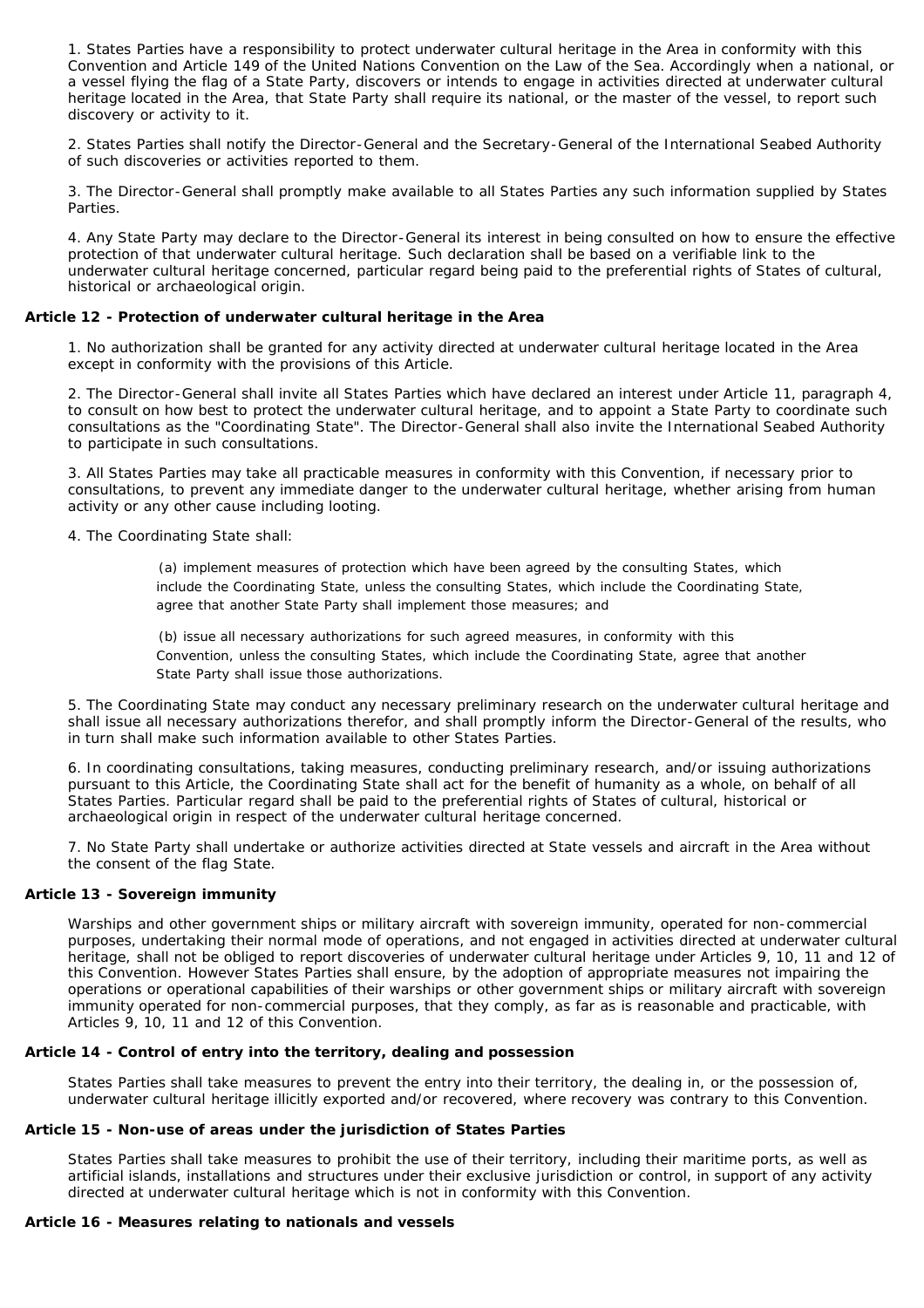1. States Parties have a responsibility to protect underwater cultural heritage in the Area in conformity with this Convention and Article 149 of the United Nations Convention on the Law of the Sea. Accordingly when a national, or a vessel flying the flag of a State Party, discovers or intends to engage in activities directed at underwater cultural heritage located in the Area, that State Party shall require its national, or the master of the vessel, to report such discovery or activity to it.

2. States Parties shall notify the Director-General and the Secretary-General of the International Seabed Authority of such discoveries or activities reported to them.

3. The Director-General shall promptly make available to all States Parties any such information supplied by States Parties.

4. Any State Party may declare to the Director-General its interest in being consulted on how to ensure the effective protection of that underwater cultural heritage. Such declaration shall be based on a verifiable link to the underwater cultural heritage concerned, particular regard being paid to the preferential rights of States of cultural, historical or archaeological origin.

# **Article 12 - Protection of underwater cultural heritage in the Area**

1. No authorization shall be granted for any activity directed at underwater cultural heritage located in the Area except in conformity with the provisions of this Article.

2. The Director-General shall invite all States Parties which have declared an interest under Article 11, paragraph 4, to consult on how best to protect the underwater cultural heritage, and to appoint a State Party to coordinate such consultations as the "Coordinating State". The Director-General shall also invite the International Seabed Authority to participate in such consultations.

3. All States Parties may take all practicable measures in conformity with this Convention, if necessary prior to consultations, to prevent any immediate danger to the underwater cultural heritage, whether arising from human activity or any other cause including looting.

4. The Coordinating State shall:

(a) implement measures of protection which have been agreed by the consulting States, which include the Coordinating State, unless the consulting States, which include the Coordinating State, agree that another State Party shall implement those measures; and

(b) issue all necessary authorizations for such agreed measures, in conformity with this Convention, unless the consulting States, which include the Coordinating State, agree that another State Party shall issue those authorizations.

5. The Coordinating State may conduct any necessary preliminary research on the underwater cultural heritage and shall issue all necessary authorizations therefor, and shall promptly inform the Director-General of the results, who in turn shall make such information available to other States Parties.

6. In coordinating consultations, taking measures, conducting preliminary research, and/or issuing authorizations pursuant to this Article, the Coordinating State shall act for the benefit of humanity as a whole, on behalf of all States Parties. Particular regard shall be paid to the preferential rights of States of cultural, historical or archaeological origin in respect of the underwater cultural heritage concerned.

7. No State Party shall undertake or authorize activities directed at State vessels and aircraft in the Area without the consent of the flag State.

# **Article 13 - Sovereign immunity**

Warships and other government ships or military aircraft with sovereign immunity, operated for non-commercial purposes, undertaking their normal mode of operations, and not engaged in activities directed at underwater cultural heritage, shall not be obliged to report discoveries of underwater cultural heritage under Articles 9, 10, 11 and 12 of this Convention. However States Parties shall ensure, by the adoption of appropriate measures not impairing the operations or operational capabilities of their warships or other government ships or military aircraft with sovereign immunity operated for non-commercial purposes, that they comply, as far as is reasonable and practicable, with Articles 9, 10, 11 and 12 of this Convention.

# **Article 14 - Control of entry into the territory, dealing and possession**

States Parties shall take measures to prevent the entry into their territory, the dealing in, or the possession of, underwater cultural heritage illicitly exported and/or recovered, where recovery was contrary to this Convention.

# **Article 15 - Non-use of areas under the jurisdiction of States Parties**

States Parties shall take measures to prohibit the use of their territory, including their maritime ports, as well as artificial islands, installations and structures under their exclusive jurisdiction or control, in support of any activity directed at underwater cultural heritage which is not in conformity with this Convention.

# **Article 16 - Measures relating to nationals and vessels**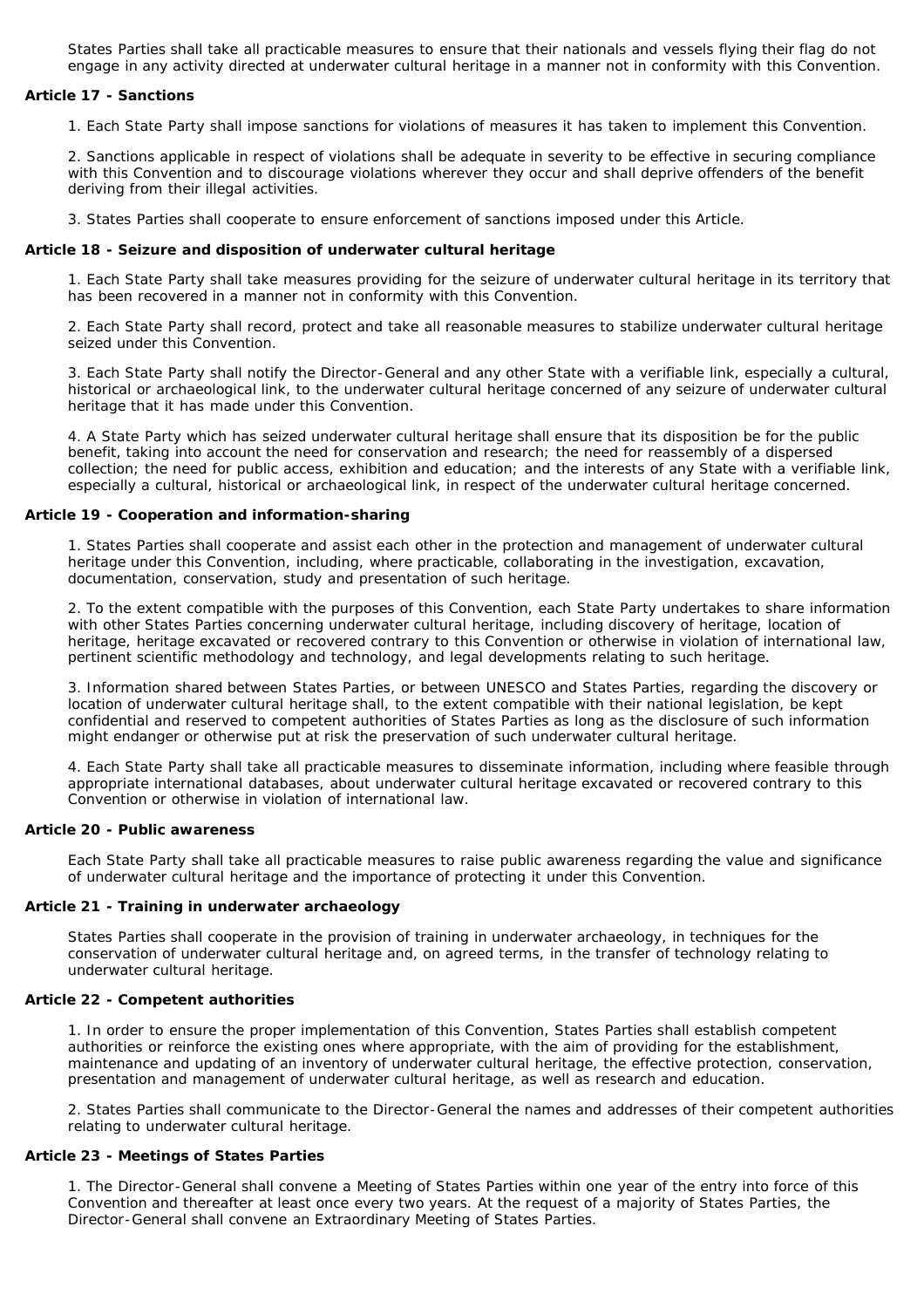States Parties shall take all practicable measures to ensure that their nationals and vessels flying their flag do not engage in any activity directed at underwater cultural heritage in a manner not in conformity with this Convention.

# **Article 17 - Sanctions**

1. Each State Party shall impose sanctions for violations of measures it has taken to implement this Convention.

2. Sanctions applicable in respect of violations shall be adequate in severity to be effective in securing compliance with this Convention and to discourage violations wherever they occur and shall deprive offenders of the benefit deriving from their illegal activities.

3. States Parties shall cooperate to ensure enforcement of sanctions imposed under this Article.

# **Article 18 - Seizure and disposition of underwater cultural heritage**

1. Each State Party shall take measures providing for the seizure of underwater cultural heritage in its territory that has been recovered in a manner not in conformity with this Convention.

2. Each State Party shall record, protect and take all reasonable measures to stabilize underwater cultural heritage seized under this Convention.

3. Each State Party shall notify the Director-General and any other State with a verifiable link, especially a cultural, historical or archaeological link, to the underwater cultural heritage concerned of any seizure of underwater cultural heritage that it has made under this Convention.

4. A State Party which has seized underwater cultural heritage shall ensure that its disposition be for the public benefit, taking into account the need for conservation and research; the need for reassembly of a dispersed collection; the need for public access, exhibition and education; and the interests of any State with a verifiable link, especially a cultural, historical or archaeological link, in respect of the underwater cultural heritage concerned.

# **Article 19 - Cooperation and information-sharing**

1. States Parties shall cooperate and assist each other in the protection and management of underwater cultural heritage under this Convention, including, where practicable, collaborating in the investigation, excavation, documentation, conservation, study and presentation of such heritage.

2. To the extent compatible with the purposes of this Convention, each State Party undertakes to share information with other States Parties concerning underwater cultural heritage, including discovery of heritage, location of heritage, heritage excavated or recovered contrary to this Convention or otherwise in violation of international law, pertinent scientific methodology and technology, and legal developments relating to such heritage.

3. Information shared between States Parties, or between UNESCO and States Parties, regarding the discovery or location of underwater cultural heritage shall, to the extent compatible with their national legislation, be kept confidential and reserved to competent authorities of States Parties as long as the disclosure of such information might endanger or otherwise put at risk the preservation of such underwater cultural heritage.

4. Each State Party shall take all practicable measures to disseminate information, including where feasible through appropriate international databases, about underwater cultural heritage excavated or recovered contrary to this Convention or otherwise in violation of international law.

# **Article 20 - Public awareness**

Each State Party shall take all practicable measures to raise public awareness regarding the value and significance of underwater cultural heritage and the importance of protecting it under this Convention.

# **Article 21 - Training in underwater archaeology**

States Parties shall cooperate in the provision of training in underwater archaeology, in techniques for the conservation of underwater cultural heritage and, on agreed terms, in the transfer of technology relating to underwater cultural heritage.

# **Article 22 - Competent authorities**

1. In order to ensure the proper implementation of this Convention, States Parties shall establish competent authorities or reinforce the existing ones where appropriate, with the aim of providing for the establishment, maintenance and updating of an inventory of underwater cultural heritage, the effective protection, conservation, presentation and management of underwater cultural heritage, as well as research and education.

2. States Parties shall communicate to the Director-General the names and addresses of their competent authorities relating to underwater cultural heritage.

# **Article 23 - Meetings of States Parties**

1. The Director-General shall convene a Meeting of States Parties within one year of the entry into force of this Convention and thereafter at least once every two years. At the request of a majority of States Parties, the Director-General shall convene an Extraordinary Meeting of States Parties.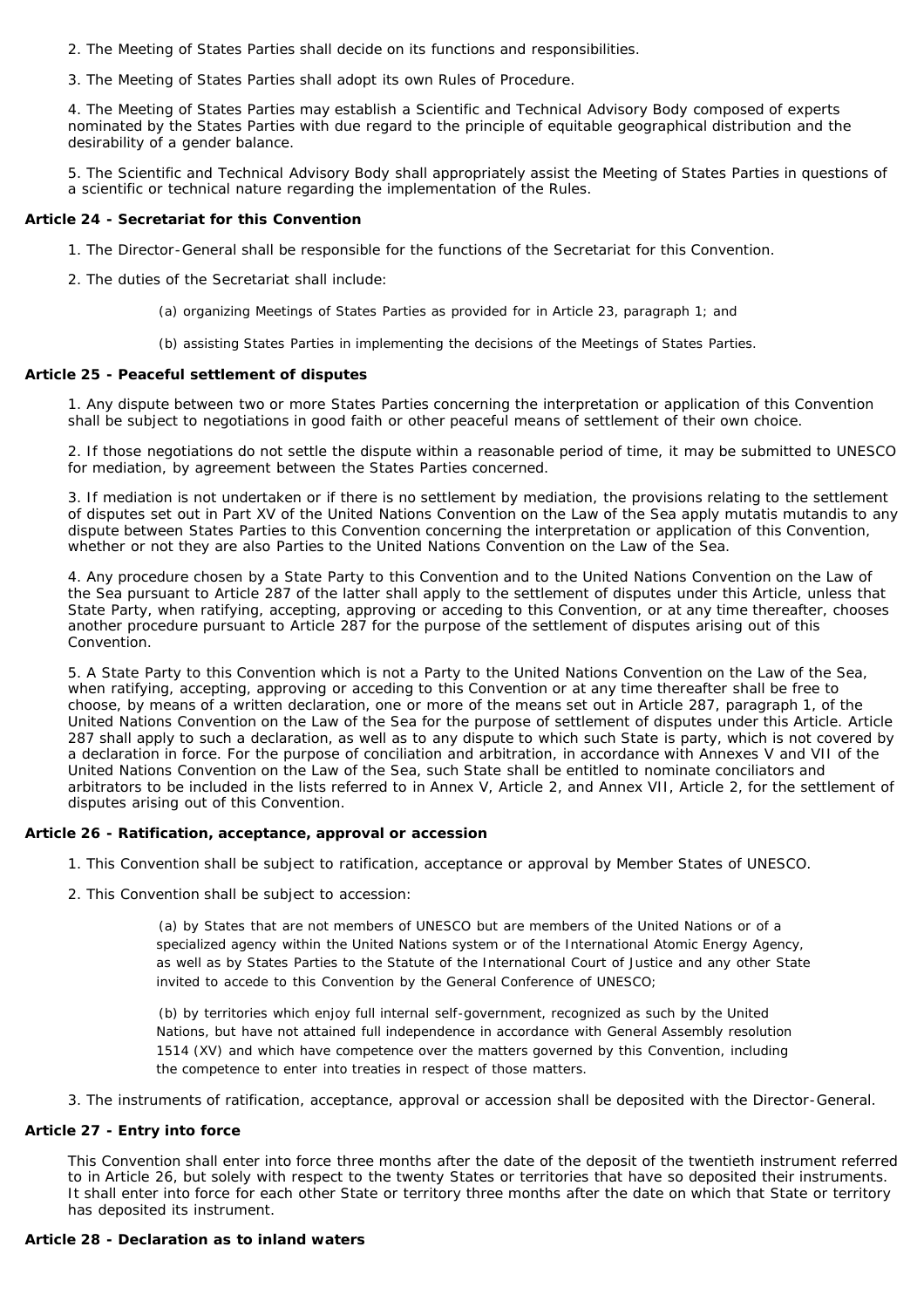- 2. The Meeting of States Parties shall decide on its functions and responsibilities.
- 3. The Meeting of States Parties shall adopt its own Rules of Procedure.

4. The Meeting of States Parties may establish a Scientific and Technical Advisory Body composed of experts nominated by the States Parties with due regard to the principle of equitable geographical distribution and the desirability of a gender balance.

5. The Scientific and Technical Advisory Body shall appropriately assist the Meeting of States Parties in questions of a scientific or technical nature regarding the implementation of the Rules.

#### **Article 24 - Secretariat for this Convention**

- 1. The Director-General shall be responsible for the functions of the Secretariat for this Convention.
- 2. The duties of the Secretariat shall include:
	- (a) organizing Meetings of States Parties as provided for in Article 23, paragraph 1; and
	- (b) assisting States Parties in implementing the decisions of the Meetings of States Parties.

#### **Article 25 - Peaceful settlement of disputes**

1. Any dispute between two or more States Parties concerning the interpretation or application of this Convention shall be subject to negotiations in good faith or other peaceful means of settlement of their own choice.

2. If those negotiations do not settle the dispute within a reasonable period of time, it may be submitted to UNESCO for mediation, by agreement between the States Parties concerned.

3. If mediation is not undertaken or if there is no settlement by mediation, the provisions relating to the settlement of disputes set out in Part XV of the United Nations Convention on the Law of the Sea apply mutatis mutandis to any dispute between States Parties to this Convention concerning the interpretation or application of this Convention, whether or not they are also Parties to the United Nations Convention on the Law of the Sea.

4. Any procedure chosen by a State Party to this Convention and to the United Nations Convention on the Law of the Sea pursuant to Article 287 of the latter shall apply to the settlement of disputes under this Article, unless that State Party, when ratifying, accepting, approving or acceding to this Convention, or at any time thereafter, chooses another procedure pursuant to Article 287 for the purpose of the settlement of disputes arising out of this Convention.

5. A State Party to this Convention which is not a Party to the United Nations Convention on the Law of the Sea, when ratifying, accepting, approving or acceding to this Convention or at any time thereafter shall be free to choose, by means of a written declaration, one or more of the means set out in Article 287, paragraph 1, of the United Nations Convention on the Law of the Sea for the purpose of settlement of disputes under this Article. Article 287 shall apply to such a declaration, as well as to any dispute to which such State is party, which is not covered by a declaration in force. For the purpose of conciliation and arbitration, in accordance with Annexes V and VII of the United Nations Convention on the Law of the Sea, such State shall be entitled to nominate conciliators and arbitrators to be included in the lists referred to in Annex V, Article 2, and Annex VII, Article 2, for the settlement of disputes arising out of this Convention.

#### **Article 26 - Ratification, acceptance, approval or accession**

1. This Convention shall be subject to ratification, acceptance or approval by Member States of UNESCO.

2. This Convention shall be subject to accession:

(a) by States that are not members of UNESCO but are members of the United Nations or of a specialized agency within the United Nations system or of the International Atomic Energy Agency, as well as by States Parties to the Statute of the International Court of Justice and any other State invited to accede to this Convention by the General Conference of UNESCO;

(b) by territories which enjoy full internal self-government, recognized as such by the United Nations, but have not attained full independence in accordance with General Assembly resolution 1514 (XV) and which have competence over the matters governed by this Convention, including the competence to enter into treaties in respect of those matters.

3. The instruments of ratification, acceptance, approval or accession shall be deposited with the Director-General.

# **Article 27 - Entry into force**

This Convention shall enter into force three months after the date of the deposit of the twentieth instrument referred to in Article 26, but solely with respect to the twenty States or territories that have so deposited their instruments. It shall enter into force for each other State or territory three months after the date on which that State or territory has deposited its instrument.

#### **Article 28 - Declaration as to inland waters**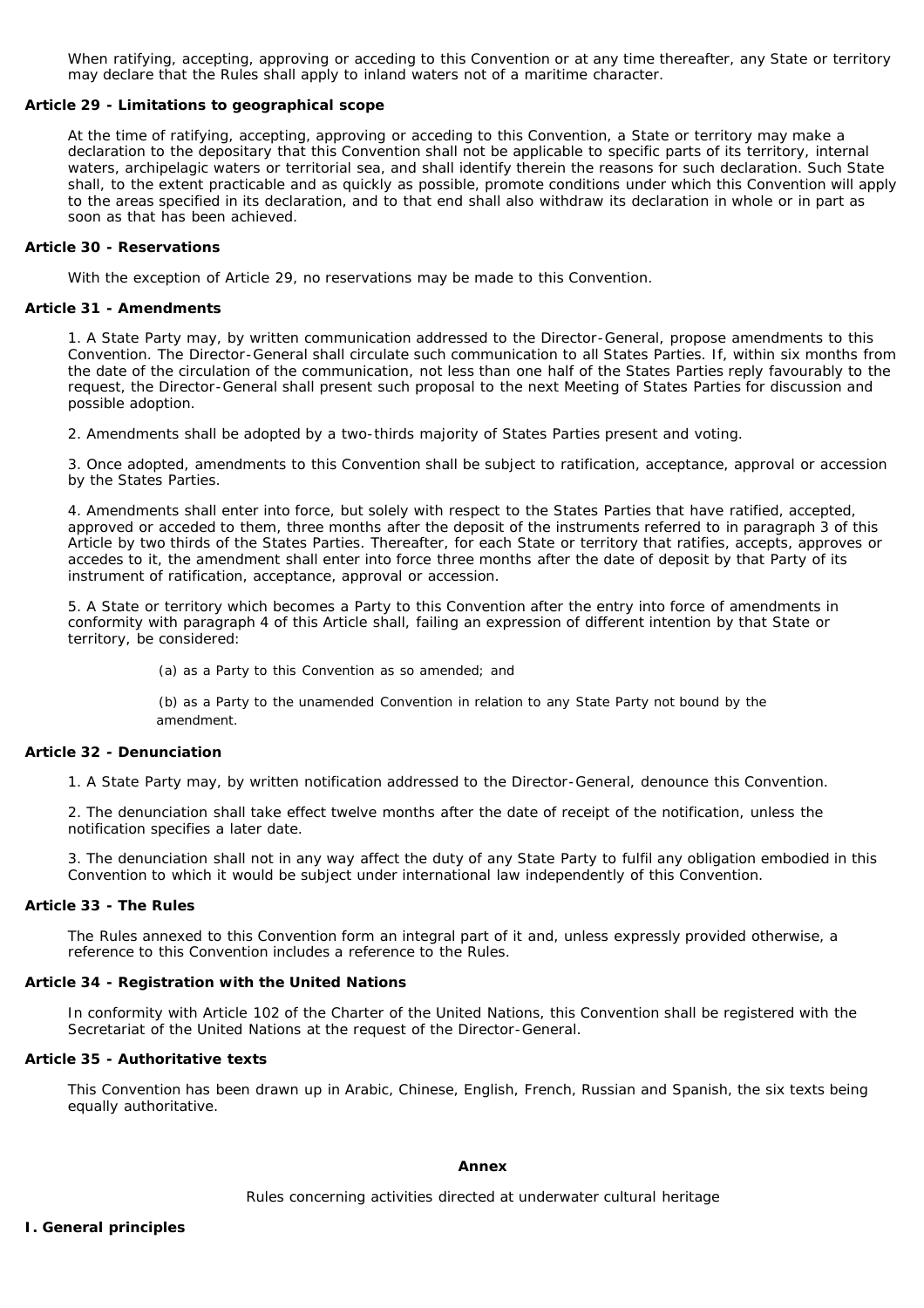When ratifying, accepting, approving or acceding to this Convention or at any time thereafter, any State or territory may declare that the Rules shall apply to inland waters not of a maritime character.

# **Article 29 - Limitations to geographical scope**

At the time of ratifying, accepting, approving or acceding to this Convention, a State or territory may make a declaration to the depositary that this Convention shall not be applicable to specific parts of its territory, internal waters, archipelagic waters or territorial sea, and shall identify therein the reasons for such declaration. Such State shall, to the extent practicable and as quickly as possible, promote conditions under which this Convention will apply to the areas specified in its declaration, and to that end shall also withdraw its declaration in whole or in part as soon as that has been achieved.

# **Article 30 - Reservations**

With the exception of Article 29, no reservations may be made to this Convention.

# **Article 31 - Amendments**

1. A State Party may, by written communication addressed to the Director-General, propose amendments to this Convention. The Director-General shall circulate such communication to all States Parties. If, within six months from the date of the circulation of the communication, not less than one half of the States Parties reply favourably to the request, the Director-General shall present such proposal to the next Meeting of States Parties for discussion and possible adoption.

2. Amendments shall be adopted by a two-thirds majority of States Parties present and voting.

3. Once adopted, amendments to this Convention shall be subject to ratification, acceptance, approval or accession by the States Parties.

4. Amendments shall enter into force, but solely with respect to the States Parties that have ratified, accepted, approved or acceded to them, three months after the deposit of the instruments referred to in paragraph 3 of this Article by two thirds of the States Parties. Thereafter, for each State or territory that ratifies, accepts, approves or accedes to it, the amendment shall enter into force three months after the date of deposit by that Party of its instrument of ratification, acceptance, approval or accession.

5. A State or territory which becomes a Party to this Convention after the entry into force of amendments in conformity with paragraph 4 of this Article shall, failing an expression of different intention by that State or territory, be considered:

(a) as a Party to this Convention as so amended; and

(b) as a Party to the unamended Convention in relation to any State Party not bound by the amendment.

# **Article 32 - Denunciation**

1. A State Party may, by written notification addressed to the Director-General, denounce this Convention.

2. The denunciation shall take effect twelve months after the date of receipt of the notification, unless the notification specifies a later date.

3. The denunciation shall not in any way affect the duty of any State Party to fulfil any obligation embodied in this Convention to which it would be subject under international law independently of this Convention.

# **Article 33 - The Rules**

The Rules annexed to this Convention form an integral part of it and, unless expressly provided otherwise, a reference to this Convention includes a reference to the Rules.

# **Article 34 - Registration with the United Nations**

In conformity with Article 102 of the Charter of the United Nations, this Convention shall be registered with the Secretariat of the United Nations at the request of the Director-General.

# **Article 35 - Authoritative texts**

This Convention has been drawn up in Arabic, Chinese, English, French, Russian and Spanish, the six texts being equally authoritative.

# **Annex**

Rules concerning activities directed at underwater cultural heritage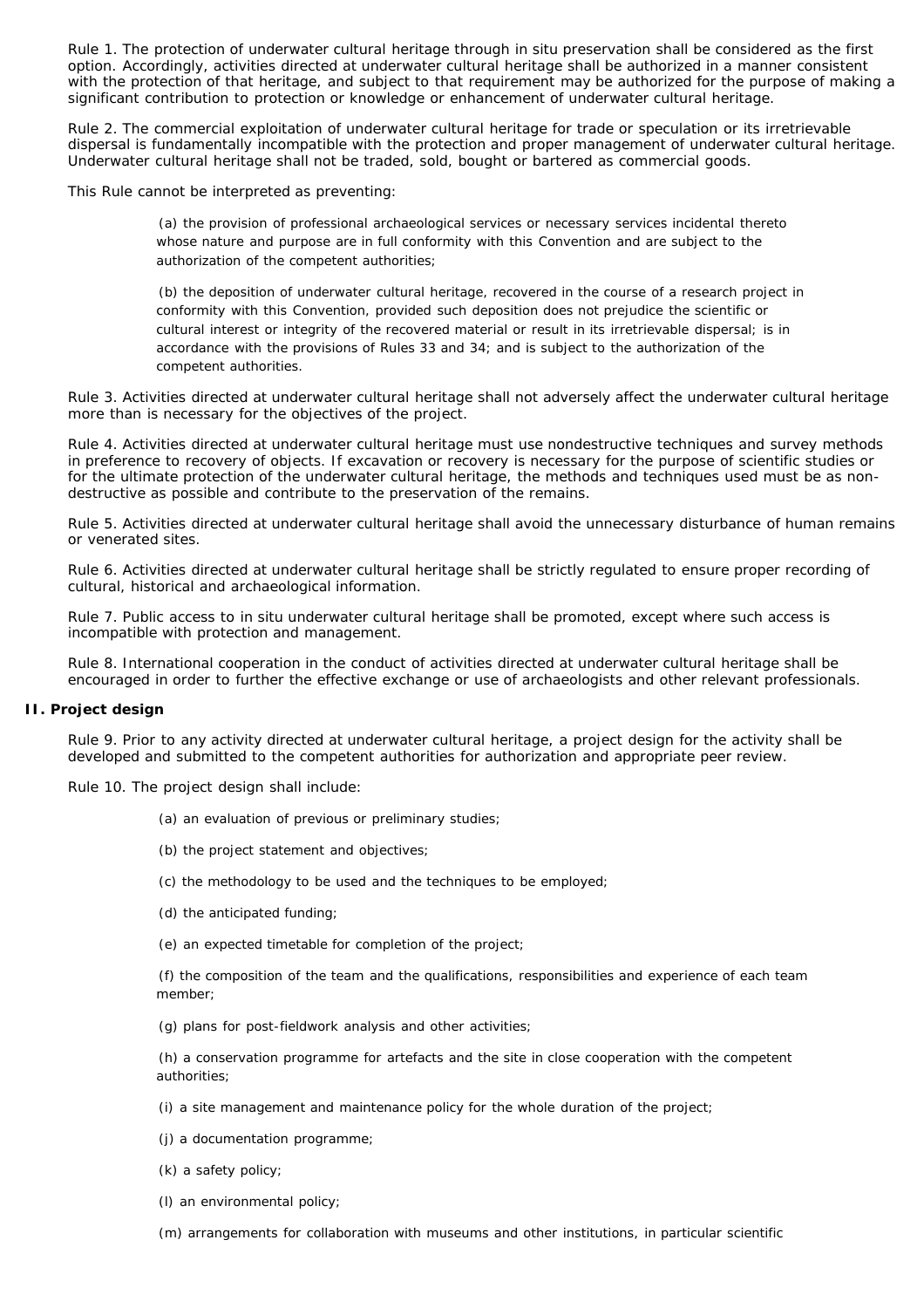Rule 1. The protection of underwater cultural heritage through in situ preservation shall be considered as the first option. Accordingly, activities directed at underwater cultural heritage shall be authorized in a manner consistent with the protection of that heritage, and subject to that requirement may be authorized for the purpose of making a significant contribution to protection or knowledge or enhancement of underwater cultural heritage.

Rule 2. The commercial exploitation of underwater cultural heritage for trade or speculation or its irretrievable dispersal is fundamentally incompatible with the protection and proper management of underwater cultural heritage. Underwater cultural heritage shall not be traded, sold, bought or bartered as commercial goods.

This Rule cannot be interpreted as preventing:

(a) the provision of professional archaeological services or necessary services incidental thereto whose nature and purpose are in full conformity with this Convention and are subject to the authorization of the competent authorities;

(b) the deposition of underwater cultural heritage, recovered in the course of a research project in conformity with this Convention, provided such deposition does not prejudice the scientific or cultural interest or integrity of the recovered material or result in its irretrievable dispersal; is in accordance with the provisions of Rules 33 and 34; and is subject to the authorization of the competent authorities.

Rule 3. Activities directed at underwater cultural heritage shall not adversely affect the underwater cultural heritage more than is necessary for the objectives of the project.

Rule 4. Activities directed at underwater cultural heritage must use nondestructive techniques and survey methods in preference to recovery of objects. If excavation or recovery is necessary for the purpose of scientific studies or for the ultimate protection of the underwater cultural heritage, the methods and techniques used must be as nondestructive as possible and contribute to the preservation of the remains.

Rule 5. Activities directed at underwater cultural heritage shall avoid the unnecessary disturbance of human remains or venerated sites.

Rule 6. Activities directed at underwater cultural heritage shall be strictly regulated to ensure proper recording of cultural, historical and archaeological information.

Rule 7. Public access to in situ underwater cultural heritage shall be promoted, except where such access is incompatible with protection and management.

Rule 8. International cooperation in the conduct of activities directed at underwater cultural heritage shall be encouraged in order to further the effective exchange or use of archaeologists and other relevant professionals.

# **II. Project design**

Rule 9. Prior to any activity directed at underwater cultural heritage, a project design for the activity shall be developed and submitted to the competent authorities for authorization and appropriate peer review.

Rule 10. The project design shall include:

- (a) an evaluation of previous or preliminary studies;
- (b) the project statement and objectives;
- (c) the methodology to be used and the techniques to be employed;
- (d) the anticipated funding;
- (e) an expected timetable for completion of the project;

(f) the composition of the team and the qualifications, responsibilities and experience of each team member;

(g) plans for post-fieldwork analysis and other activities;

(h) a conservation programme for artefacts and the site in close cooperation with the competent authorities;

(i) a site management and maintenance policy for the whole duration of the project;

- (j) a documentation programme;
- (k) a safety policy;
- (l) an environmental policy;
- (m) arrangements for collaboration with museums and other institutions, in particular scientific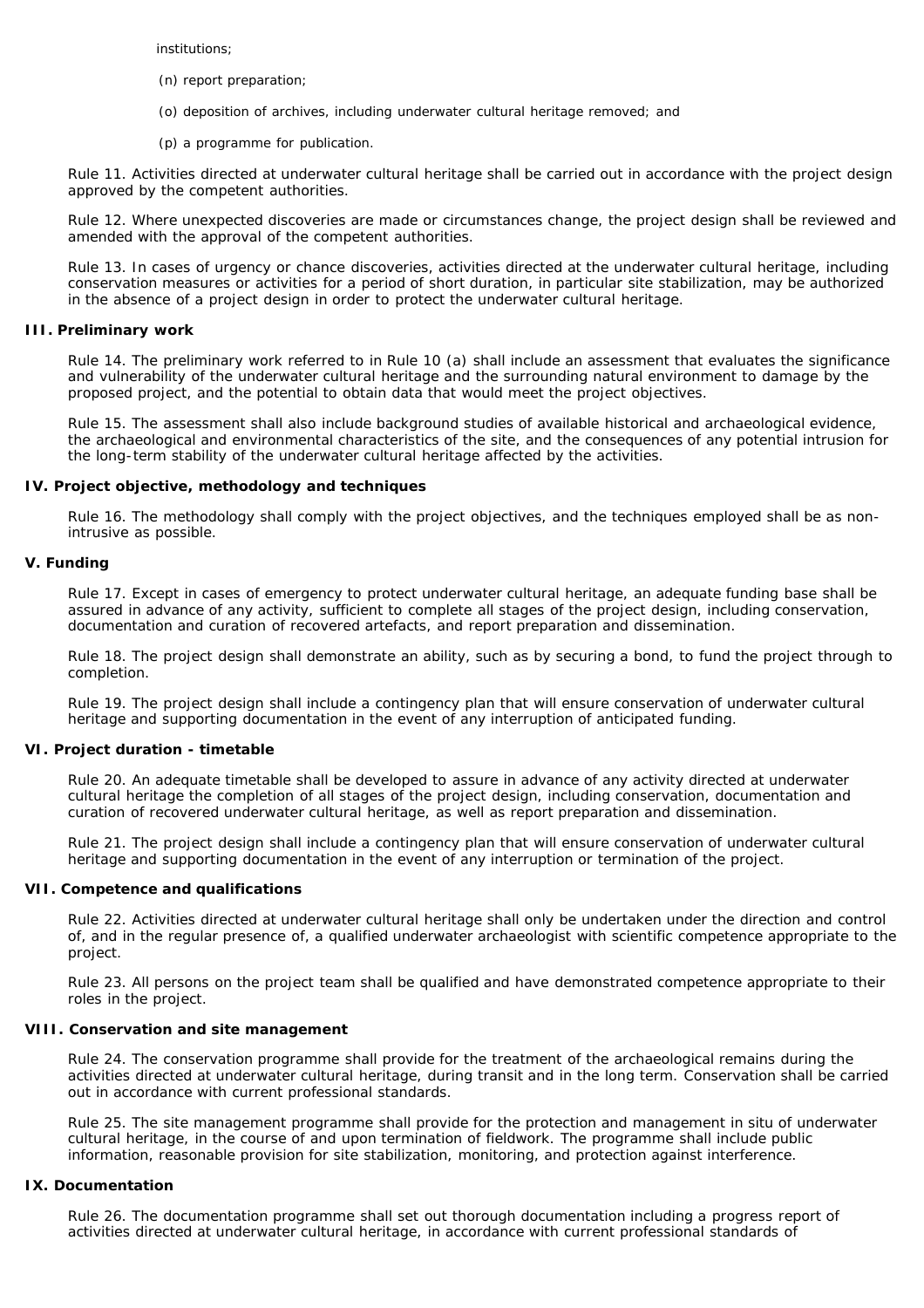institutions;

- (n) report preparation;
- (o) deposition of archives, including underwater cultural heritage removed; and
- (p) a programme for publication.

Rule 11. Activities directed at underwater cultural heritage shall be carried out in accordance with the project design approved by the competent authorities.

Rule 12. Where unexpected discoveries are made or circumstances change, the project design shall be reviewed and amended with the approval of the competent authorities.

Rule 13. In cases of urgency or chance discoveries, activities directed at the underwater cultural heritage, including conservation measures or activities for a period of short duration, in particular site stabilization, may be authorized in the absence of a project design in order to protect the underwater cultural heritage.

# **III. Preliminary work**

Rule 14. The preliminary work referred to in Rule 10 (a) shall include an assessment that evaluates the significance and vulnerability of the underwater cultural heritage and the surrounding natural environment to damage by the proposed project, and the potential to obtain data that would meet the project objectives.

Rule 15. The assessment shall also include background studies of available historical and archaeological evidence, the archaeological and environmental characteristics of the site, and the consequences of any potential intrusion for the long-term stability of the underwater cultural heritage affected by the activities.

#### **IV. Project objective, methodology and techniques**

Rule 16. The methodology shall comply with the project objectives, and the techniques employed shall be as nonintrusive as possible.

# **V. Funding**

Rule 17. Except in cases of emergency to protect underwater cultural heritage, an adequate funding base shall be assured in advance of any activity, sufficient to complete all stages of the project design, including conservation, documentation and curation of recovered artefacts, and report preparation and dissemination.

Rule 18. The project design shall demonstrate an ability, such as by securing a bond, to fund the project through to completion.

Rule 19. The project design shall include a contingency plan that will ensure conservation of underwater cultural heritage and supporting documentation in the event of any interruption of anticipated funding.

# **VI. Project duration - timetable**

Rule 20. An adequate timetable shall be developed to assure in advance of any activity directed at underwater cultural heritage the completion of all stages of the project design, including conservation, documentation and curation of recovered underwater cultural heritage, as well as report preparation and dissemination.

Rule 21. The project design shall include a contingency plan that will ensure conservation of underwater cultural heritage and supporting documentation in the event of any interruption or termination of the project.

#### **VII. Competence and qualifications**

Rule 22. Activities directed at underwater cultural heritage shall only be undertaken under the direction and control of, and in the regular presence of, a qualified underwater archaeologist with scientific competence appropriate to the project.

Rule 23. All persons on the project team shall be qualified and have demonstrated competence appropriate to their roles in the project.

# **VIII. Conservation and site management**

Rule 24. The conservation programme shall provide for the treatment of the archaeological remains during the activities directed at underwater cultural heritage, during transit and in the long term. Conservation shall be carried out in accordance with current professional standards.

Rule 25. The site management programme shall provide for the protection and management in situ of underwater cultural heritage, in the course of and upon termination of fieldwork. The programme shall include public information, reasonable provision for site stabilization, monitoring, and protection against interference.

# **IX. Documentation**

Rule 26. The documentation programme shall set out thorough documentation including a progress report of activities directed at underwater cultural heritage, in accordance with current professional standards of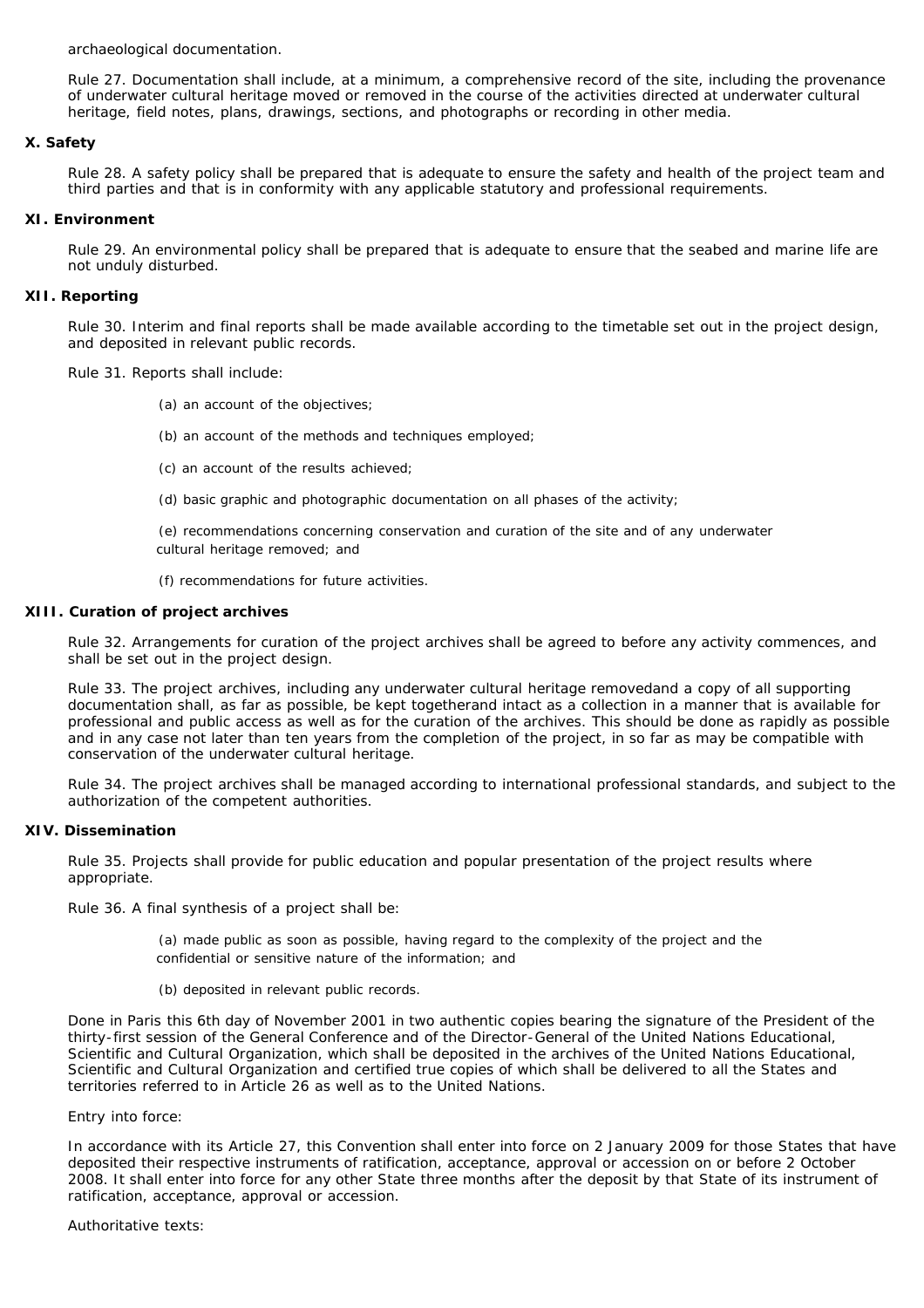archaeological documentation.

Rule 27. Documentation shall include, at a minimum, a comprehensive record of the site, including the provenance of underwater cultural heritage moved or removed in the course of the activities directed at underwater cultural heritage, field notes, plans, drawings, sections, and photographs or recording in other media.

# **X. Safety**

Rule 28. A safety policy shall be prepared that is adequate to ensure the safety and health of the project team and third parties and that is in conformity with any applicable statutory and professional requirements.

# **XI. Environment**

Rule 29. An environmental policy shall be prepared that is adequate to ensure that the seabed and marine life are not unduly disturbed.

# **XII. Reporting**

Rule 30. Interim and final reports shall be made available according to the timetable set out in the project design, and deposited in relevant public records.

Rule 31. Reports shall include:

(a) an account of the objectives;

(b) an account of the methods and techniques employed;

(c) an account of the results achieved;

(d) basic graphic and photographic documentation on all phases of the activity;

(e) recommendations concerning conservation and curation of the site and of any underwater cultural heritage removed; and

(f) recommendations for future activities.

# **XIII. Curation of project archives**

Rule 32. Arrangements for curation of the project archives shall be agreed to before any activity commences, and shall be set out in the project design.

Rule 33. The project archives, including any underwater cultural heritage removedand a copy of all supporting documentation shall, as far as possible, be kept togetherand intact as a collection in a manner that is available for professional and public access as well as for the curation of the archives. This should be done as rapidly as possible and in any case not later than ten years from the completion of the project, in so far as may be compatible with conservation of the underwater cultural heritage.

Rule 34. The project archives shall be managed according to international professional standards, and subject to the authorization of the competent authorities.

# **XIV. Dissemination**

Rule 35. Projects shall provide for public education and popular presentation of the project results where appropriate.

Rule 36. A final synthesis of a project shall be:

(a) made public as soon as possible, having regard to the complexity of the project and the confidential or sensitive nature of the information; and

(b) deposited in relevant public records.

Done in Paris this 6th day of November 2001 in two authentic copies bearing the signature of the President of the thirty-first session of the General Conference and of the Director-General of the United Nations Educational, Scientific and Cultural Organization, which shall be deposited in the archives of the United Nations Educational, Scientific and Cultural Organization and certified true copies of which shall be delivered to all the States and territories referred to in Article 26 as well as to the United Nations.

Entry into force:

In accordance with its Article 27, this Convention shall enter into force on 2 January 2009 for those States that have deposited their respective instruments of ratification, acceptance, approval or accession on or before 2 October 2008. It shall enter into force for any other State three months after the deposit by that State of its instrument of ratification, acceptance, approval or accession.

Authoritative texts: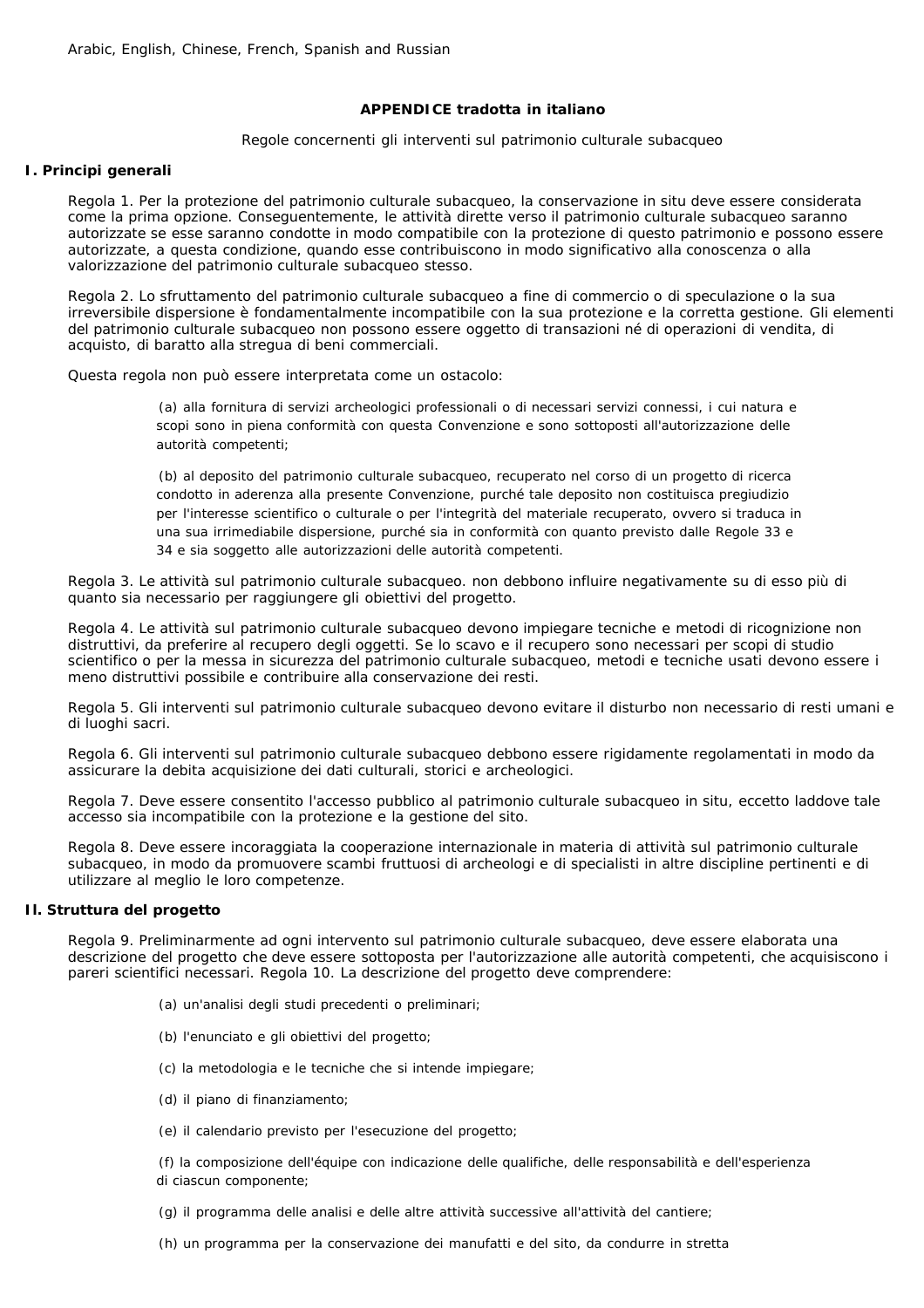# **APPENDICE tradotta in italiano**

Regole concernenti gli interventi sul patrimonio culturale subacqueo

# **I. Principi generali**

Regola 1. Per la protezione del patrimonio culturale subacqueo, la conservazione in situ deve essere considerata come la prima opzione. Conseguentemente, le attività dirette verso il patrimonio culturale subacqueo saranno autorizzate se esse saranno condotte in modo compatibile con la protezione di questo patrimonio e possono essere autorizzate, a questa condizione, quando esse contribuiscono in modo significativo alla conoscenza o alla valorizzazione del patrimonio culturale subacqueo stesso.

Regola 2. Lo sfruttamento del patrimonio culturale subacqueo a fine di commercio o di speculazione o la sua irreversibile dispersione è fondamentalmente incompatibile con la sua protezione e la corretta gestione. Gli elementi del patrimonio culturale subacqueo non possono essere oggetto di transazioni né di operazioni di vendita, di acquisto, di baratto alla stregua di beni commerciali.

Questa regola non può essere interpretata come un ostacolo:

(a) alla fornitura di servizi archeologici professionali o di necessari servizi connessi, i cui natura e scopi sono in piena conformità con questa Convenzione e sono sottoposti all'autorizzazione delle autorità competenti;

(b) al deposito del patrimonio culturale subacqueo, recuperato nel corso di un progetto di ricerca condotto in aderenza alla presente Convenzione, purché tale deposito non costituisca pregiudizio per l'interesse scientifico o culturale o per l'integrità del materiale recuperato, ovvero si traduca in una sua irrimediabile dispersione, purché sia in conformità con quanto previsto dalle Regole 33 e 34 e sia soggetto alle autorizzazioni delle autorità competenti.

Regola 3. Le attività sul patrimonio culturale subacqueo. non debbono influire negativamente su di esso più di quanto sia necessario per raggiungere gli obiettivi del progetto.

Regola 4. Le attività sul patrimonio culturale subacqueo devono impiegare tecniche e metodi di ricognizione non distruttivi, da preferire al recupero degli oggetti. Se lo scavo e il recupero sono necessari per scopi di studio scientifico o per la messa in sicurezza del patrimonio culturale subacqueo, metodi e tecniche usati devono essere i meno distruttivi possibile e contribuire alla conservazione dei resti.

Regola 5. Gli interventi sul patrimonio culturale subacqueo devono evitare il disturbo non necessario di resti umani e di luoghi sacri.

Regola 6. Gli interventi sul patrimonio culturale subacqueo debbono essere rigidamente regolamentati in modo da assicurare la debita acquisizione dei dati culturali, storici e archeologici.

Regola 7. Deve essere consentito l'accesso pubblico al patrimonio culturale subacqueo in situ, eccetto laddove tale accesso sia incompatibile con la protezione e la gestione del sito.

Regola 8. Deve essere incoraggiata la cooperazione internazionale in materia di attività sul patrimonio culturale subacqueo, in modo da promuovere scambi fruttuosi di archeologi e di specialisti in altre discipline pertinenti e di utilizzare al meglio le loro competenze.

# **Il. Struttura del progetto**

Regola 9. Preliminarmente ad ogni intervento sul patrimonio culturale subacqueo, deve essere elaborata una descrizione del progetto che deve essere sottoposta per l'autorizzazione alle autorità competenti, che acquisiscono i pareri scientifici necessari. Regola 10. La descrizione del progetto deve comprendere:

- (a) un'analisi degli studi precedenti o preliminari;
- (b) l'enunciato e gli obiettivi del progetto;
- (c) la metodologia e le tecniche che si intende impiegare;
- (d) il piano di finanziamento;
- (e) il calendario previsto per l'esecuzione del progetto;

(f) la composizione dell'équipe con indicazione delle qualifiche, delle responsabilità e dell'esperienza di ciascun componente;

- (g) il programma delle analisi e delle altre attività successive all'attività del cantiere;
- (h) un programma per la conservazione dei manufatti e del sito, da condurre in stretta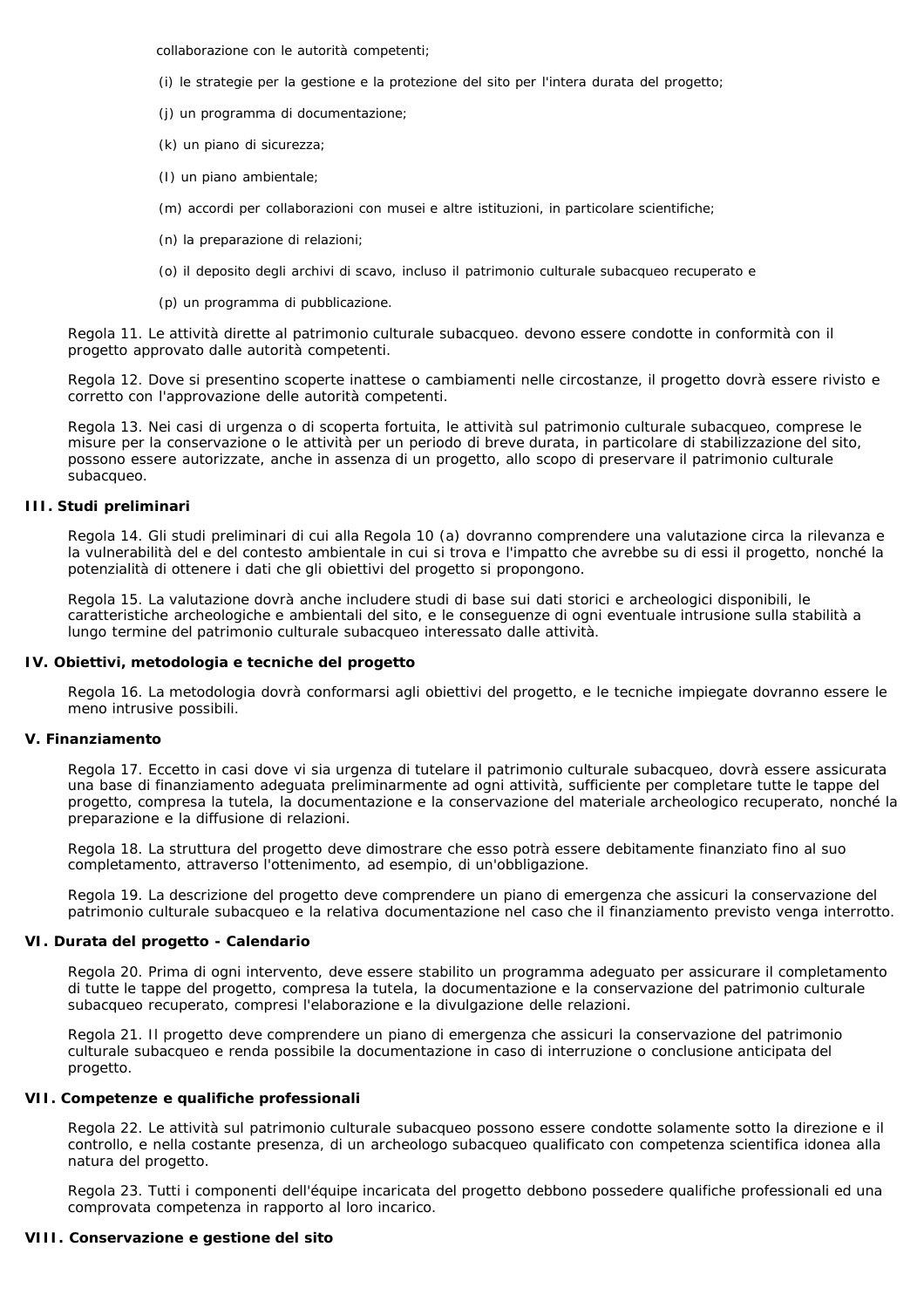collaborazione con le autorità competenti;

- (i) le strategie per la gestione e la protezione del sito per l'intera durata del progetto;
- (j) un programma di documentazione;
- (k) un piano di sicurezza;
- (I) un piano ambientale;
- (m) accordi per collaborazioni con musei e altre istituzioni, in particolare scientifiche;
- (n) la preparazione di relazioni;
- (o) il deposito degli archivi di scavo, incluso il patrimonio culturale subacqueo recuperato e
- (p) un programma di pubblicazione.

Regola 11. Le attività dirette al patrimonio culturale subacqueo. devono essere condotte in conformità con il progetto approvato dalle autorità competenti.

Regola 12. Dove si presentino scoperte inattese o cambiamenti nelle circostanze, il progetto dovrà essere rivisto e corretto con l'approvazione delle autorità competenti.

Regola 13. Nei casi di urgenza o di scoperta fortuita, le attività sul patrimonio culturale subacqueo, comprese le misure per la conservazione o le attività per un periodo di breve durata, in particolare di stabilizzazione del sito, possono essere autorizzate, anche in assenza di un progetto, allo scopo di preservare il patrimonio culturale subacqueo.

# **III. Studi preliminari**

Regola 14. Gli studi preliminari di cui alla Regola 10 (a) dovranno comprendere una valutazione circa la rilevanza e la vulnerabilità del e del contesto ambientale in cui si trova e l'impatto che avrebbe su di essi il progetto, nonché la potenzialità di ottenere i dati che gli obiettivi del progetto si propongono.

Regola 15. La valutazione dovrà anche includere studi di base sui dati storici e archeologici disponibili, le caratteristiche archeologiche e ambientali del sito, e le conseguenze di ogni eventuale intrusione sulla stabilità a lungo termine del patrimonio culturale subacqueo interessato dalle attività.

# **IV. Obiettivi, metodologia e tecniche del progetto**

Regola 16. La metodologia dovrà conformarsi agli obiettivi del progetto, e le tecniche impiegate dovranno essere le meno intrusive possibili.

# **V. Finanziamento**

Regola 17. Eccetto in casi dove vi sia urgenza di tutelare il patrimonio culturale subacqueo, dovrà essere assicurata una base di finanziamento adeguata preliminarmente ad ogni attività, sufficiente per completare tutte le tappe del progetto, compresa la tutela, la documentazione e la conservazione del materiale archeologico recuperato, nonché la preparazione e la diffusione di relazioni.

Regola 18. La struttura del progetto deve dimostrare che esso potrà essere debitamente finanziato fino al suo completamento, attraverso l'ottenimento, ad esempio, di un'obbligazione.

Regola 19. La descrizione del progetto deve comprendere un piano di emergenza che assicuri la conservazione del patrimonio culturale subacqueo e la relativa documentazione nel caso che il finanziamento previsto venga interrotto.

# **VI. Durata del progetto - Calendario**

Regola 20. Prima di ogni intervento, deve essere stabilito un programma adeguato per assicurare il completamento di tutte le tappe del progetto, compresa la tutela, la documentazione e la conservazione del patrimonio culturale subacqueo recuperato, compresi l'elaborazione e la divulgazione delle relazioni.

Regola 21. Il progetto deve comprendere un piano di emergenza che assicuri la conservazione del patrimonio culturale subacqueo e renda possibile la documentazione in caso di interruzione o conclusione anticipata del progetto.

# **VII. Competenze e qualifiche professionali**

Regola 22. Le attività sul patrimonio culturale subacqueo possono essere condotte solamente sotto la direzione e il controllo, e nella costante presenza, di un archeologo subacqueo qualificato con competenza scientifica idonea alla natura del progetto.

Regola 23. Tutti i componenti dell'équipe incaricata del progetto debbono possedere qualifiche professionali ed una comprovata competenza in rapporto al loro incarico.

# **VIII. Conservazione e gestione del sito**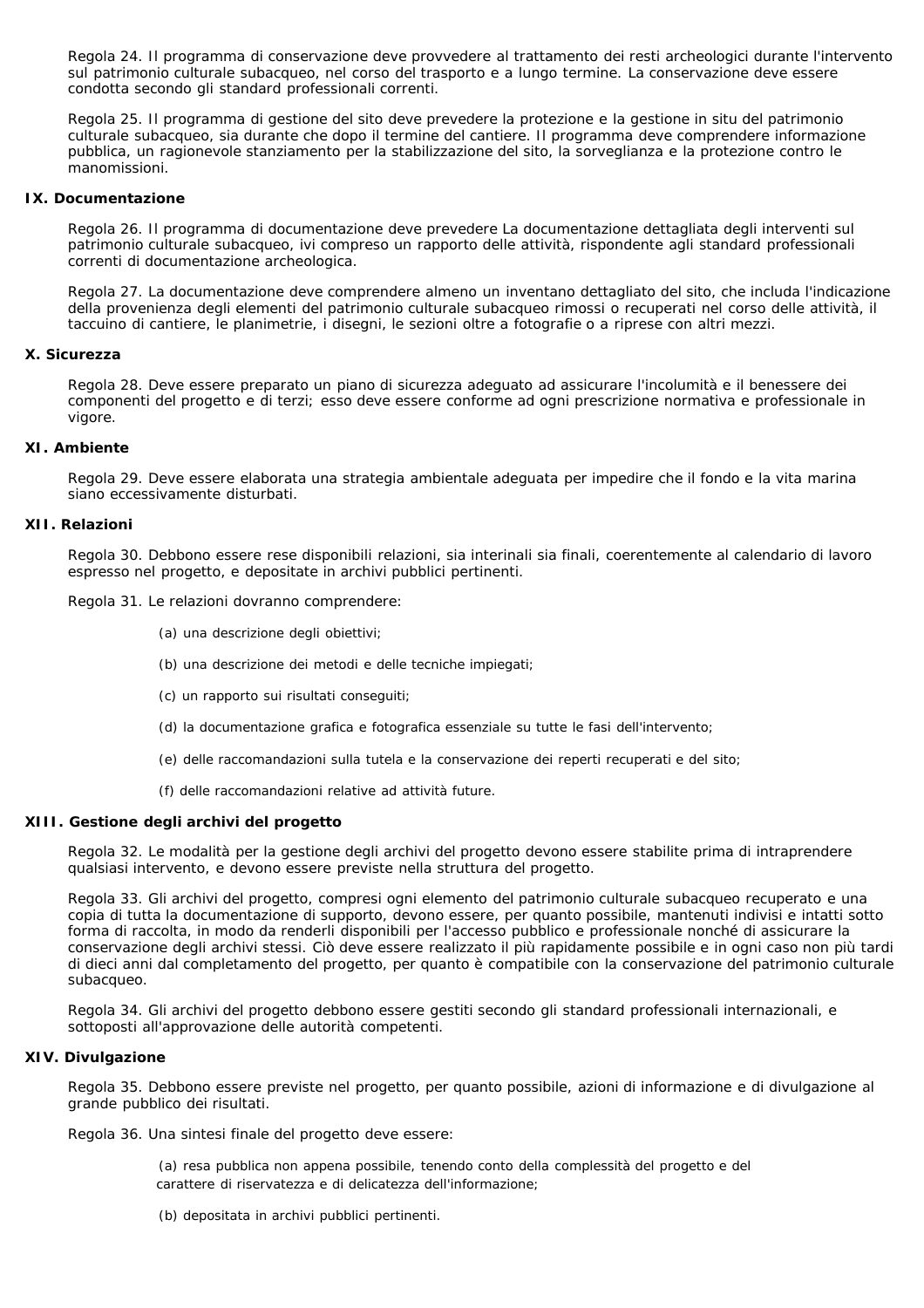Regola 24. Il programma di conservazione deve provvedere al trattamento dei resti archeologici durante l'intervento sul patrimonio culturale subacqueo, nel corso del trasporto e a lungo termine. La conservazione deve essere condotta secondo gli standard professionali correnti.

Regola 25. Il programma di gestione del sito deve prevedere la protezione e la gestione in situ del patrimonio culturale subacqueo, sia durante che dopo il termine del cantiere. Il programma deve comprendere informazione pubblica, un ragionevole stanziamento per la stabilizzazione del sito, la sorveglianza e la protezione contro le manomissioni.

# **IX. Documentazione**

Regola 26. Il programma di documentazione deve prevedere La documentazione dettagliata degli interventi sul patrimonio culturale subacqueo, ivi compreso un rapporto delle attività, rispondente agli standard professionali correnti di documentazione archeologica.

Regola 27. La documentazione deve comprendere almeno un inventano dettagliato del sito, che includa l'indicazione della provenienza degli elementi del patrimonio culturale subacqueo rimossi o recuperati nel corso delle attività, il taccuino di cantiere, le planimetrie, i disegni, le sezioni oltre a fotografie o a riprese con altri mezzi.

# **X. Sicurezza**

Regola 28. Deve essere preparato un piano di sicurezza adeguato ad assicurare l'incolumità e il benessere dei componenti del progetto e di terzi; esso deve essere conforme ad ogni prescrizione normativa e professionale in vigore.

# **XI. Ambiente**

Regola 29. Deve essere elaborata una strategia ambientale adeguata per impedire che il fondo e la vita marina siano eccessivamente disturbati.

# **XII. Relazioni**

Regola 30. Debbono essere rese disponibili relazioni, sia interinali sia finali, coerentemente al calendario di lavoro espresso nel progetto, e depositate in archivi pubblici pertinenti.

# Regola 31. Le relazioni dovranno comprendere:

- (a) una descrizione degli obiettivi;
- (b) una descrizione dei metodi e delle tecniche impiegati;
- (c) un rapporto sui risultati conseguiti;
- (d) la documentazione grafica e fotografica essenziale su tutte le fasi dell'intervento;
- (e) delle raccomandazioni sulla tutela e la conservazione dei reperti recuperati e del sito;
- (f) delle raccomandazioni relative ad attività future.

# **XIII. Gestione degli archivi del progetto**

Regola 32. Le modalità per la gestione degli archivi del progetto devono essere stabilite prima di intraprendere qualsiasi intervento, e devono essere previste nella struttura del progetto.

Regola 33. Gli archivi del progetto, compresi ogni elemento del patrimonio culturale subacqueo recuperato e una copia di tutta la documentazione di supporto, devono essere, per quanto possibile, mantenuti indivisi e intatti sotto forma di raccolta, in modo da renderli disponibili per l'accesso pubblico e professionale nonché di assicurare la conservazione degli archivi stessi. Ciò deve essere realizzato il più rapidamente possibile e in ogni caso non più tardi di dieci anni dal completamento del progetto, per quanto è compatibile con la conservazione del patrimonio culturale subacqueo.

Regola 34. Gli archivi del progetto debbono essere gestiti secondo gli standard professionali internazionali, e sottoposti all'approvazione delle autorità competenti.

# **XIV. Divulgazione**

Regola 35. Debbono essere previste nel progetto, per quanto possibile, azioni di informazione e di divulgazione al grande pubblico dei risultati.

Regola 36. Una sintesi finale del progetto deve essere:

(a) resa pubblica non appena possibile, tenendo conto della complessità del progetto e del carattere di riservatezza e di delicatezza dell'informazione;

(b) depositata in archivi pubblici pertinenti.